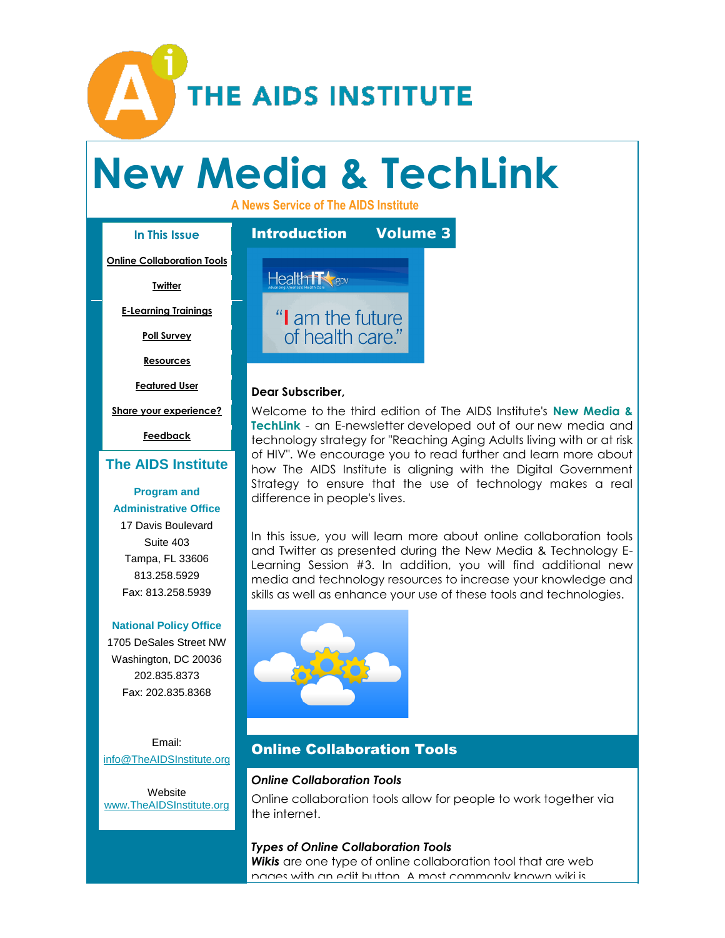

# **New Media & TechLink**

**A News Service of The AIDS Institute**

# **In This Issue**

**[Online Collaboration Tools](mip://020ea810/default.html#LETTER.BLOCK16)**

**[Twitter](mip://020ea810/default.html#LETTER.BLOCK47)**

**[E-Learning Trainings](mip://020ea810/default.html#LETTER.BLOCK34)**

**[Poll Survey](mip://020ea810/default.html#LETTER.BLOCK37)**

**[Resources](mip://020ea810/default.html#LETTER.BLOCK40)**

**[Featured User](mip://020ea810/default.html#LETTER.BLOCK46)**

**[Share your experience?](mip://020ea810/default.html#LETTER.BLOCK52)**

**[Feedback](mip://020ea810/default.html#LETTER.BLOCK26)**

# **[The AIDS Institute](http://r20.rs6.net/tn.jsp?et=1109379879950&s=0&e=0013peMwM9_zJELiJM2uZEGXTH-06b5imtnFkQVa0T773Y-KUoSOFEfdPm79B1_8wrZI9U79vn1399lFQlY501WTN5OZUXOrv7Cr7NZWRrRiSX8Gvas74KY0viCP4UGIa7J)**

#### **[Program and](http://r20.rs6.net/tn.jsp?et=1109379879950&s=0&e=0013peMwM9_zJELiJM2uZEGXTH-06b5imtnFkQVa0T773Y-KUoSOFEfdPm79B1_8wrZI9U79vn1399lFQlY501WTN5OZUXOrv7Cr7NZWRrRiSX8Gvas74KY0viCP4UGIa7J)  Administrative Office**

17 Davis Boulevard Suite 403 Tampa, FL 33606 813.258.5929 Fax: 813.258.5939

#### **[National](http://r20.rs6.net/tn.jsp?et=1109379879950&s=0&e=0013peMwM9_zJELiJM2uZEGXTH-06b5imtnFkQVa0T773Y-KUoSOFEfdPm79B1_8wrZI9U79vn1399lFQlY501WTN5OZUXOrv7Cr7NZWRrRiSX8Gvas74KY0viCP4UGIa7J) Policy Office**

1705 DeSales Street NW Washington, DC 20036 202.835.8373 Fax: 202.835.8368

Email: [info@TheAIDSInstitute.org](mailto:info@TheAIDSInstitute.org)

Website [www.TheAIDSInstitute.org](http://r20.rs6.net/tn.jsp?et=1109379879950&s=0&e=0013peMwM9_zJELiJM2uZEGXTH-06b5imtnFkQVa0T773Y-KUoSOFEfdPm79B1_8wrZI9U79vn1399lFQlY501WTN5OZUXOrv7Cr7NZWRrRiSX8Gvas74KY0viCP4UGIa7J)



#### **Dear Subscriber,**

Welcome to the third edition of The AIDS Institute's **New Media & TechLink** - an E-newsletter developed out of our new media and technology strategy for "Reaching Aging Adults living with or at risk of HIV". We encourage you to read further and learn more about how The AIDS Institute is aligning with the Digital Government Strategy to ensure that the use of technology makes a real difference in people's lives.

In this issue, you will learn more about online collaboration tools and Twitter as presented during the New Media & Technology E-Learning Session #3. In addition, you will find additional new media and technology resources to increase your knowledge and skills as well as enhance your use of these tools and technologies.



# Online Collaboration Tools

#### *Online Collaboration Tools*

Online collaboration tools allow for people to work together via the internet.

#### *Types of Online Collaboration Tools*

*Wikis* are one type of online collaboration tool that are web pages with an edit button. A most commonly known wiki is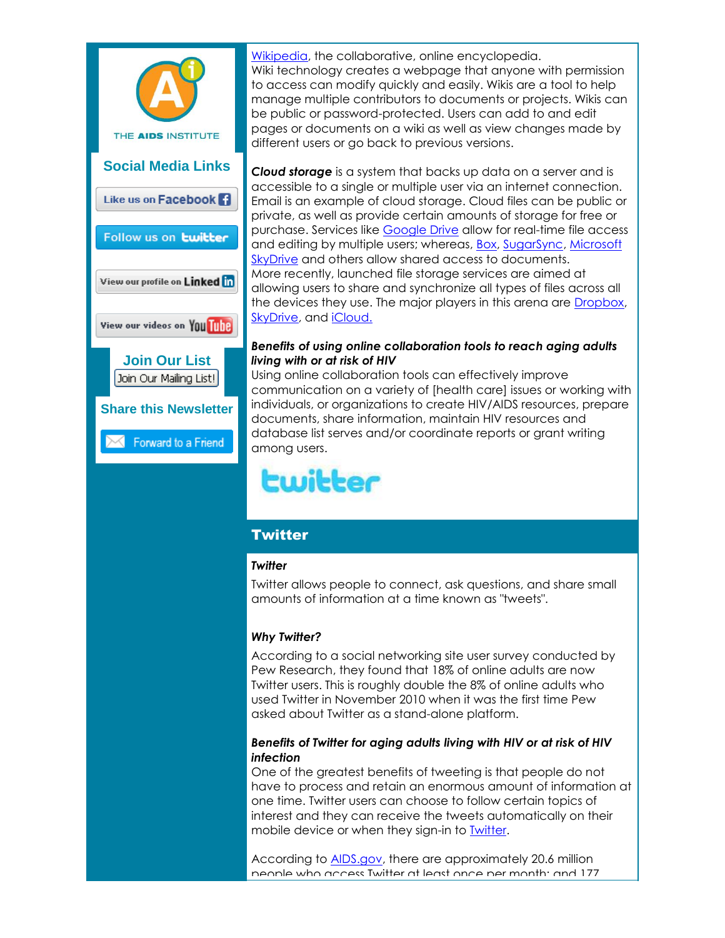

[Wikipedia,](http://r20.rs6.net/tn.jsp?t=5xve7coab.0.dsbwhpoab.8jy9x9dab.2&ts=S0961&r=3&p=http%3A%2F%2Fen.wikipedia.org%2Fwiki%2FWikipedia%3Futm_source%3DThe%2BAIDS%2BInstitute%2527s%2BNew%2BMedia%2B%2526%2BTechLink%2BE-Newsletter-Volume%2B3%26utm_campaign%3DNewsletter%26utm_medium%3Demail) the collaborative, online encyclopedia. Wiki technology creates a webpage that anyone with permission to access can modify quickly and easily. Wikis are a tool to help manage multiple contributors to documents or projects. Wikis can be public or password-protected. Users can add to and edit pages or documents on a wiki as well as view changes made by different users or go back to previous versions.

*Cloud storage* is a system that backs up data on a server and is accessible to a single or multiple user via an internet connection. Email is an example of cloud storage. Cloud files can be public or private, as well as provide certain amounts of storage for free or purchase. Services like [Google Drive](http://r20.rs6.net/tn.jsp?t=5xve7coab.0.esbwhpoab.8jy9x9dab.2&ts=S0961&r=3&p=http%3A%2F%2Fwww.google.com%2Fdrive%2Fabout.html%3Fauthuser%3D0%26utm_source%3DThe%2BAIDS%2BInstitute%2527s%2BNew%2BMedia%2B%2526%2BTechLink%2BE-Newsletter-Volume%2B3%26utm_campaign%3DNewsletter%26utm_medium%3Demail) allow for real-time file access and editing by multiple users; whereas, [Box,](http://r20.rs6.net/tn.jsp?t=5xve7coab.0.fsbwhpoab.8jy9x9dab.2&ts=S0961&r=3&p=https%3A%2F%2Fwww.box.com%2F%3Futm_source%3DThe%2BAIDS%2BInstitute%2527s%2BNew%2BMedia%2B%2526%2BTechLink%2BE-Newsletter-Volume%2B3%26utm_campaign%3DNewsletter%26utm_medium%3Demail) [SugarSync,](http://r20.rs6.net/tn.jsp?t=5xve7coab.0.hsbwhpoab.8jy9x9dab.2&ts=S0961&r=3&p=https%3A%2F%2Fwww.sugarsync.com%2F%3Futm_source%3DThe%2BAIDS%2BInstitute%2527s%2BNew%2BMedia%2B%2526%2BTechLink%2BE-Newsletter-Volume%2B3%26utm_campaign%3DNewsletter%26utm_medium%3Demail) [Microsoft](http://r20.rs6.net/tn.jsp?t=5xve7coab.0.jsbwhpoab.8jy9x9dab.2&ts=S0961&r=3&p=https%3A%2F%2Fskydrive.live.com%2F%3Futm_source%3DThe%2BAIDS%2BInstitute%2527s%2BNew%2BMedia%2B%2526%2BTechLink%2BE-Newsletter-Volume%2B3%26utm_campaign%3DNewsletter%26utm_medium%3Demail)  [SkyDrive](http://r20.rs6.net/tn.jsp?t=5xve7coab.0.jsbwhpoab.8jy9x9dab.2&ts=S0961&r=3&p=https%3A%2F%2Fskydrive.live.com%2F%3Futm_source%3DThe%2BAIDS%2BInstitute%2527s%2BNew%2BMedia%2B%2526%2BTechLink%2BE-Newsletter-Volume%2B3%26utm_campaign%3DNewsletter%26utm_medium%3Demail) and others allow shared access to documents. More recently, launched file storage services are aimed at allowing users to share and synchronize all types of files across all the devices they use. The major players in this arena are [Dropbox,](http://r20.rs6.net/tn.jsp?t=5xve7coab.0.ksbwhpoab.8jy9x9dab.2&ts=S0961&r=3&p=https%3A%2F%2Fwww.dropbox.com%2F%3Futm_source%3DThe%2BAIDS%2BInstitute%2527s%2BNew%2BMedia%2B%2526%2BTechLink%2BE-Newsletter-Volume%2B3%26utm_campaign%3DNewsletter%26utm_medium%3Demail) [SkyDrive,](http://r20.rs6.net/tn.jsp?t=5xve7coab.0.msbwhpoab.8jy9x9dab.2&ts=S0961&r=3&p=http%3A%2F%2Fskydrive.com%2F%3Futm_source%3DThe%2BAIDS%2BInstitute%2527s%2BNew%2BMedia%2B%2526%2BTechLink%2BE-Newsletter-Volume%2B3%26utm_campaign%3DNewsletter%26utm_medium%3Demail) and [iCloud.](http://r20.rs6.net/tn.jsp?t=5xve7coab.0.nsbwhpoab.8jy9x9dab.2&ts=S0961&r=3&p=https%3A%2F%2Fwww.icloud.com%2F%3Futm_source%3DThe%2BAIDS%2BInstitute%2527s%2BNew%2BMedia%2B%2526%2BTechLink%2BE-Newsletter-Volume%2B3%26utm_campaign%3DNewsletter%26utm_medium%3Demail)

#### *Benefits of using online collaboration tools to reach aging adults living with or at risk of HIV*

Using online collaboration tools can effectively improve communication on a variety of [health care] issues or working with individuals, or organizations to create HIV/AIDS resources, prepare documents, share information, maintain HIV resources and database list serves and/or coordinate reports or grant writing among users.

# twitter

# **Twitter**

# *Twitter*

Twitter allows people to connect, ask questions, and share small amounts of information at a time known as "tweets".

# *Why Twitter?*

According to a social networking site user survey conducted by Pew Research, they found that 18% of online adults are now Twitter users. This is roughly double the 8% of online adults who used Twitter in November 2010 when it was the first time Pew asked about Twitter as a stand-alone platform.

# *Benefits of Twitter for aging adults living with HIV or at risk of HIV infection*

One of the greatest benefits of tweeting is that people do not have to process and retain an enormous amount of information at one time. Twitter users can choose to follow certain topics of interest and they can receive the tweets automatically on their mobile device or when they sign-in to [Twitter.](http://r20.rs6.net/tn.jsp?t=5xve7coab.0.osbwhpoab.8jy9x9dab.2&ts=S0961&r=3&p=http%3A%2F%2Fwww.twitter.com)

According to [AIDS.gov,](http://r20.rs6.net/tn.jsp?t=5xve7coab.0.psbwhpoab.8jy9x9dab.2&ts=S0961&r=3&p=http%3A%2F%2Fwww.aids.gov%2F%3Futm_source%3DThe%2BAIDS%2BInstitute%2527s%2BNew%2BMedia%2B%2526%2BTechLink%2BE-Newsletter-Volume%2B3%26utm_campaign%3DNewsletter%26utm_medium%3Demail) there are approximately 20.6 million people who access Twitter at least once per month; and 177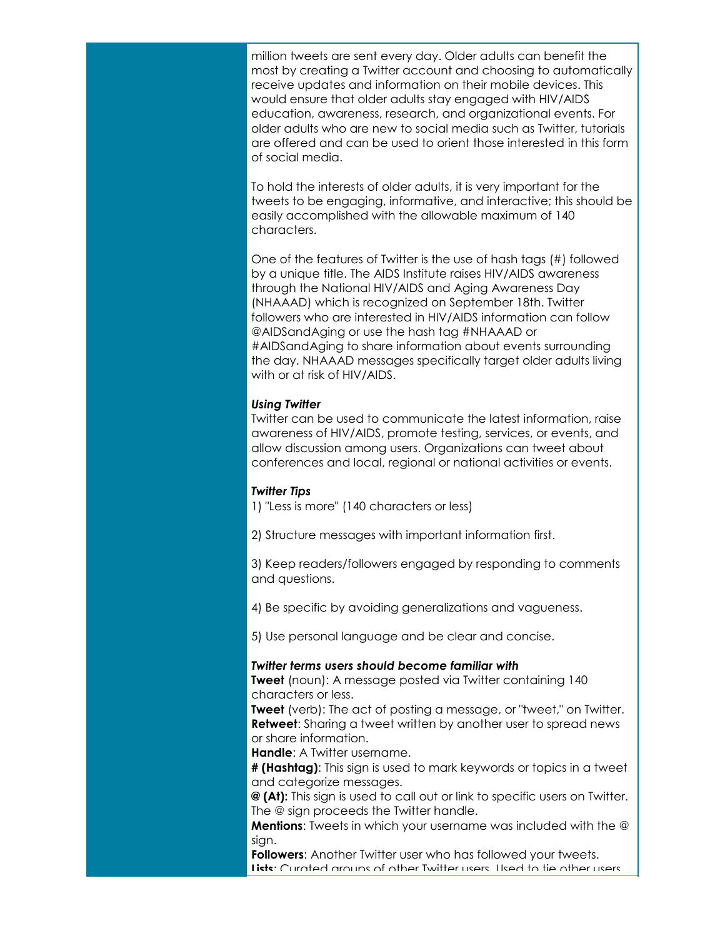million tweets are sent every day. Older adults can benefit the most by creating a Twitter account and choosing to automatically receive updates and information on their mobile devices. This would ensure that older adults stay engaged with HIV/AIDS education, awareness, research, and organizational events. For older adults who are new to social media such as Twitter, tutorials are offered and can be used to orient those interested in this form of social media.

To hold the interests of older adults, it is very important for the tweets to be engaging, informative, and interactive; this should be easily accomplished with the allowable maximum of 140 characters.

One of the features of Twitter is the use of hash tags (#) followed by a unique title. The AIDS Institute raises HIV/AIDS awareness through the National HIV/AIDS and Aging Awareness Day (NHAAAD) which is recognized on September 18th. Twitter followers who are interested in HIV/AIDS information can follow @AIDSandAging or use the hash tag #NHAAAD or #AIDSandAging to share information about events surrounding the day. NHAAAD messages specifically target older adults living with or at risk of HIV/AIDS.

#### *Using Twitter*

Twitter can be used to communicate the latest information, raise awareness of HIV/AIDS, promote testing, services, or events, and allow discussion among users. Organizations can tweet about conferences and local, regional or national activities or events.

#### *Twitter Tips*

1) "Less is more" (140 characters or less)

2) Structure messages with important information first.

3) Keep readers/followers engaged by responding to comments and questions.

4) Be specific by avoiding generalizations and vagueness.

5) Use personal language and be clear and concise.

#### *Twitter terms users should become familiar with*

**Tweet** (noun): A message posted via Twitter containing 140 characters or less.

**Tweet** (verb): The act of posting a message, or "tweet," on Twitter. **Retweet**: Sharing a tweet written by another user to spread news or share information.

**Handle:** A Twitter username.

**# (Hashtag)**: This sign is used to mark keywords or topics in a tweet and categorize messages.

**@ (At):** This sign is used to call out or link to specific users on Twitter. The @ sign proceeds the Twitter handle.

**Mentions**: Tweets in which your username was included with the @ sign.

**Followers**: Another Twitter user who has followed your tweets. **Lists**: Curated groups of other Twitter users. Used to tie other users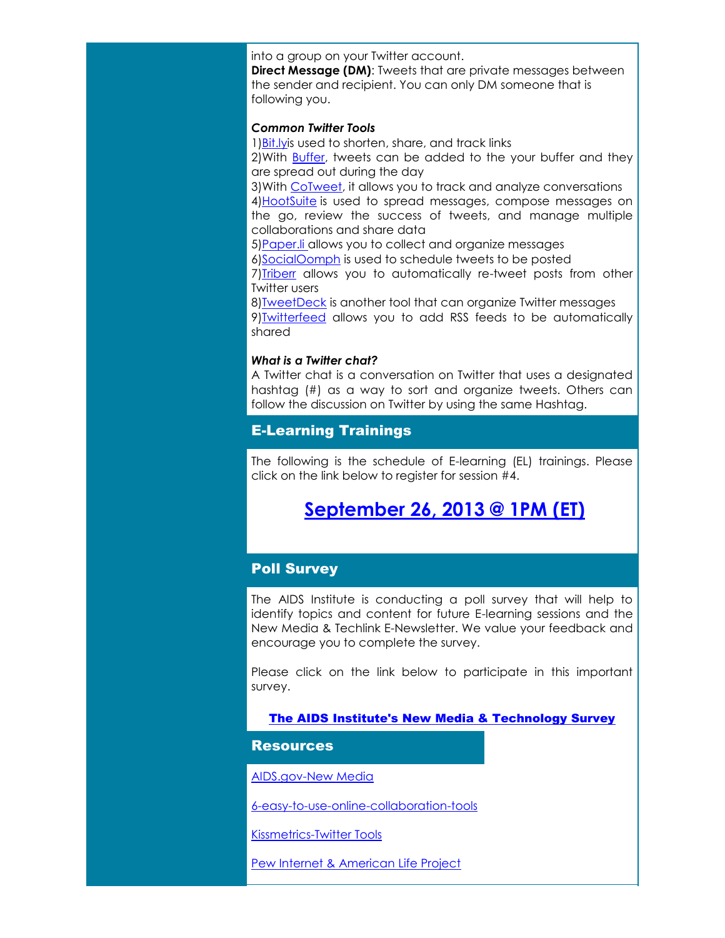into a group on your Twitter account.

**Direct Message (DM)**: Tweets that are private messages between the sender and recipient. You can only DM someone that is following you.

#### *Common Twitter Tools*

1[\)Bit.lyis](http://r20.rs6.net/tn.jsp?t=5xve7coab.0.qsbwhpoab.8jy9x9dab.2&ts=S0961&r=3&p=https%3A%2F%2Fbitly.com%2F%3Futm_source%3DThe%2BAIDS%2BInstitute%2527s%2BNew%2BMedia%2B%2526%2BTechLink%2BE-Newsletter-Volume%2B3%26utm_campaign%3DNewsletter%26utm_medium%3Demail) used to shorten, share, and track links 2)With [Buffer,](http://r20.rs6.net/tn.jsp?t=5xve7coab.0.rsbwhpoab.8jy9x9dab.2&ts=S0961&r=3&p=http%3A%2F%2Fbufferapp.com%2F%3Futm_source%3DThe%2BAIDS%2BInstitute%2527s%2BNew%2BMedia%2B%2526%2BTechLink%2BE-Newsletter-Volume%2B3%26utm_campaign%3DNewsletter%26utm_medium%3Demail) tweets can be added to the your buffer and they are spread out during the day

3)With [CoTweet,](http://r20.rs6.net/tn.jsp?t=5xve7coab.0.ssbwhpoab.8jy9x9dab.2&ts=S0961&r=3&p=https%3A%2F%2Ftwitter.com%2Fcotweet) it allows you to track and analyze conversations 4) HootSuite is used to spread messages, compose messages on the go, review the success of tweets, and manage multiple collaborations and share data

5[\)Paper.li a](http://r20.rs6.net/tn.jsp?t=5xve7coab.0.usbwhpoab.8jy9x9dab.2&ts=S0961&r=3&p=http%3A%2F%2Fpaper.li%2F%3Futm_source%3DThe%2BAIDS%2BInstitute%2527s%2BNew%2BMedia%2B%2526%2BTechLink%2BE-Newsletter-Volume%2B3%26utm_campaign%3DNewsletter%26utm_medium%3Demail)llows you to collect and organize messages

6[\)SocialOomph](http://r20.rs6.net/tn.jsp?t=5xve7coab.0.vsbwhpoab.8jy9x9dab.2&ts=S0961&r=3&p=https%3A%2F%2Fwww.socialoomph.com%2F%3Futm_source%3DThe%2BAIDS%2BInstitute%2527s%2BNew%2BMedia%2B%2526%2BTechLink%2BE-Newsletter-Volume%2B3%26utm_campaign%3DNewsletter%26utm_medium%3Demail) is used to schedule tweets to be posted

7) Triberr allows you to automatically re-tweet posts from other Twitter users

8[\)TweetDeck](http://r20.rs6.net/tn.jsp?t=5xve7coab.0.xsbwhpoab.8jy9x9dab.2&ts=S0961&r=3&p=http%3A%2F%2Ftweetdeck.com%2F%3Futm_source%3DThe%2BAIDS%2BInstitute%2527s%2BNew%2BMedia%2B%2526%2BTechLink%2BE-Newsletter-Volume%2B3%26utm_campaign%3DNewsletter%26utm_medium%3Demail) is another tool that can organize Twitter messages 9[\)Twitterfeed](http://r20.rs6.net/tn.jsp?t=5xve7coab.0.ysbwhpoab.8jy9x9dab.2&ts=S0961&r=3&p=http%3A%2F%2Ftwitterfeed.com%2F%3Futm_source%3DThe%2BAIDS%2BInstitute%2527s%2BNew%2BMedia%2B%2526%2BTechLink%2BE-Newsletter-Volume%2B3%26utm_campaign%3DNewsletter%26utm_medium%3Demail) allows you to add RSS feeds to be automatically shared

#### *What is a Twitter chat?*

A Twitter chat is a conversation on Twitter that uses a designated hashtag (#) as a way to sort and organize tweets. Others can follow the discussion on Twitter by using the same Hashtag.

# E-Learning Trainings

The following is the schedule of E-learning (EL) trainings. Please click on the link below to register for session #4.

# **[September 26, 2013 @ 1PM \(ET\)](http://r20.rs6.net/tn.jsp?t=5xve7coab.0.zsbwhpoab.8jy9x9dab.2&ts=S0961&r=3&p=https%3A%2F%2Fwww2.gotomeeting.com%2Fregister%2F234047810%3Futm_source%3DThe%2BAIDS%2BInstitute%2527s%2BNew%2BMedia%2B%2526%2BTechLink%2BE-Newsletter-Volume%2B3%26utm_campaign%3DNewsletter%26utm_medium%3Demail)**

# Poll Survey

The AIDS Institute is conducting a poll survey that will help to identify topics and content for future E-learning sessions and the New Media & Techlink E-Newsletter. We value your feedback and encourage you to complete the survey.

Please click on the link below to participate in this important survey.

[The AIDS Institute's New Media & Technology Survey](http://r20.rs6.net/tn.jsp?t=5xve7coab.0.esayp6nab.8jy9x9dab.2&ts=S0961&r=3&p=http%3A%2F%2Fsurvey.constantcontact.com%2Fsurvey%2Fa07e7ywsopjhk302fzi%2Fstart%3Fs%3Da002gd92kooj)

#### **Resources**

[AIDS.gov-New Media](http://r20.rs6.net/tn.jsp?t=5xve7coab.0.9sbwhpoab.8jy9x9dab.2&ts=S0961&r=3&p=http%3A%2F%2Fwww.aids.gov%2Fusing-new-media%2F%3Futm_source%3DThe%2BAIDS%2BInstitute%2527s%2BNew%2BMedia%2B%2526%2BTechLink%2BE-Newsletter-Volume%2B3%26utm_campaign%3DNewsletter%26utm_medium%3Demail)

[6-easy-to-use-online-collaboration-tools](http://r20.rs6.net/tn.jsp?t=5xve7coab.0.f5rqwooab.8jy9x9dab.2&ts=S0961&r=3&p=http%3A%2F%2Ftrendblog.net%2F6-easy-to-use-online-collaboration-tools-make-teamwork-simple%2F%3Futm_source%3DThe%2BAIDS%2BInstitute%2527s%2BNew%2BMedia%2B%2526%2BTechLink%2BE-Newsletter-Volume%2B3%26utm_campaign%3DNewsletter%26utm_medium%3Demail)

[Kissmetrics-Twitter Tools](http://r20.rs6.net/tn.jsp?t=5xve7coab.0.8sbwhpoab.8jy9x9dab.2&ts=S0961&r=3&p=http%3A%2F%2Fblog.kissmetrics.com%2F10-twitter-tools%3Futm_source%3DThe%2BAIDS%2BInstitute%2527s%2BNew%2BMedia%2B%2526%2BTechLink%2BE-Newsletter-Volume%2B3%26utm_campaign%3DNewsletter%26utm_medium%3Demail)

[Pew Internet & American Life Project](http://r20.rs6.net/tn.jsp?t=5xve7coab.0.swpglooab.8jy9x9dab.2&ts=S0961&r=3&p=http%3A%2F%2Fpewinternet.org%2FReports%2F2013%2Fsocial-networking-sites%2FFindings.aspx%3Futm_source%3DThe%2BAIDS%2BInstitute%2527s%2BNew%2BMedia%2B%2526%2BTechLink%2BE-Newsletter-Volume%2B3%26utm_campaign%3DNewsletter%26utm_medium%3Demail)